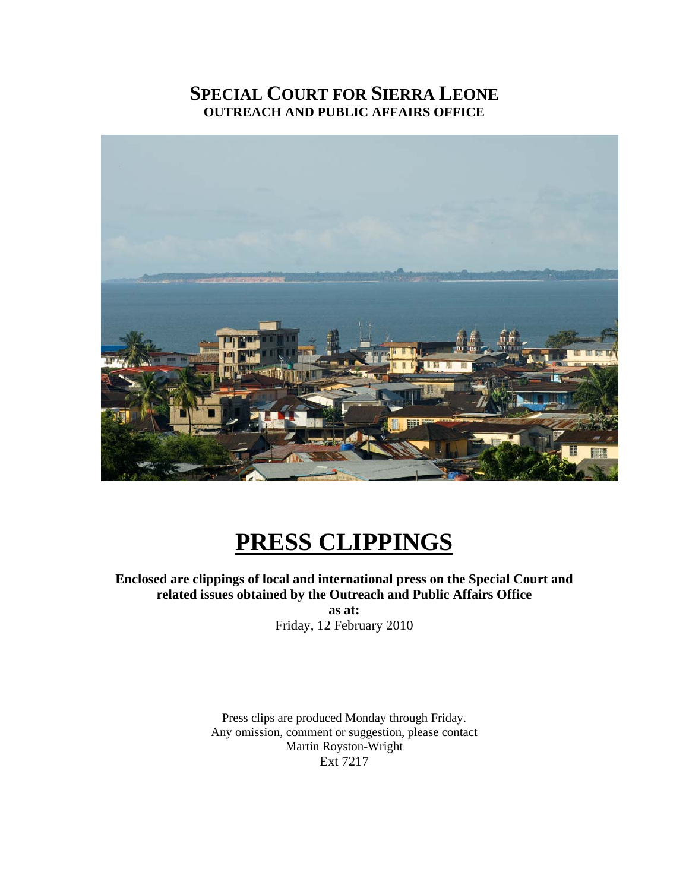# **SPECIAL COURT FOR SIERRA LEONE OUTREACH AND PUBLIC AFFAIRS OFFICE**



# **PRESS CLIPPINGS**

**Enclosed are clippings of local and international press on the Special Court and related issues obtained by the Outreach and Public Affairs Office as at:** 

Friday, 12 February 2010

Press clips are produced Monday through Friday. Any omission, comment or suggestion, please contact Martin Royston-Wright Ext 7217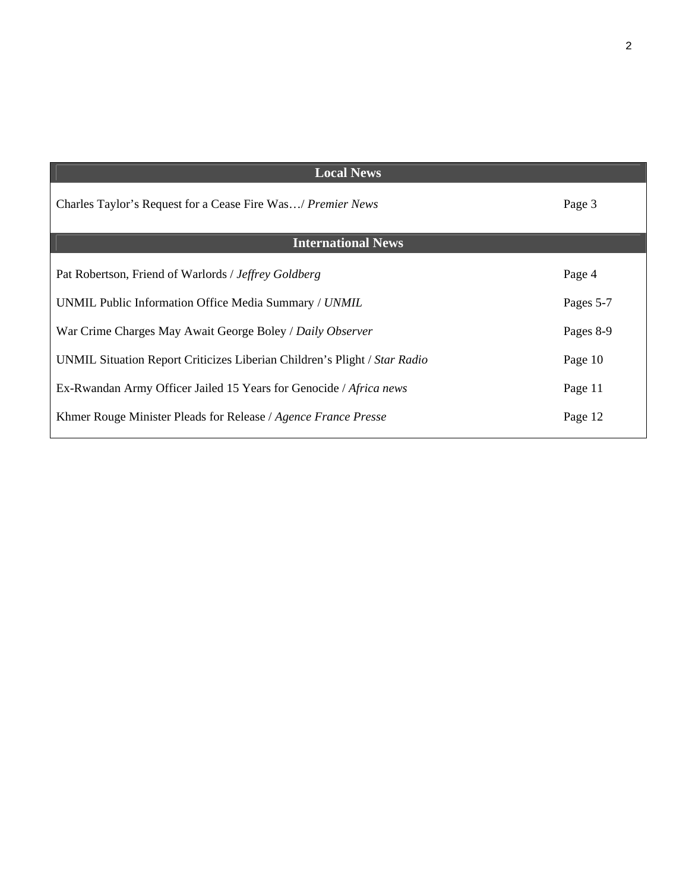| <b>Local News</b>                                                         |           |
|---------------------------------------------------------------------------|-----------|
| Charles Taylor's Request for a Cease Fire Was/ Premier News               | Page 3    |
| <b>International News</b>                                                 |           |
| Pat Robertson, Friend of Warlords / Jeffrey Goldberg                      | Page 4    |
| UNMIL Public Information Office Media Summary / UNMIL                     | Pages 5-7 |
| War Crime Charges May Await George Boley / Daily Observer                 | Pages 8-9 |
| UNMIL Situation Report Criticizes Liberian Children's Plight / Star Radio | Page 10   |
| Ex-Rwandan Army Officer Jailed 15 Years for Genocide / Africa news        | Page 11   |
| Khmer Rouge Minister Pleads for Release / Agence France Presse            | Page 12   |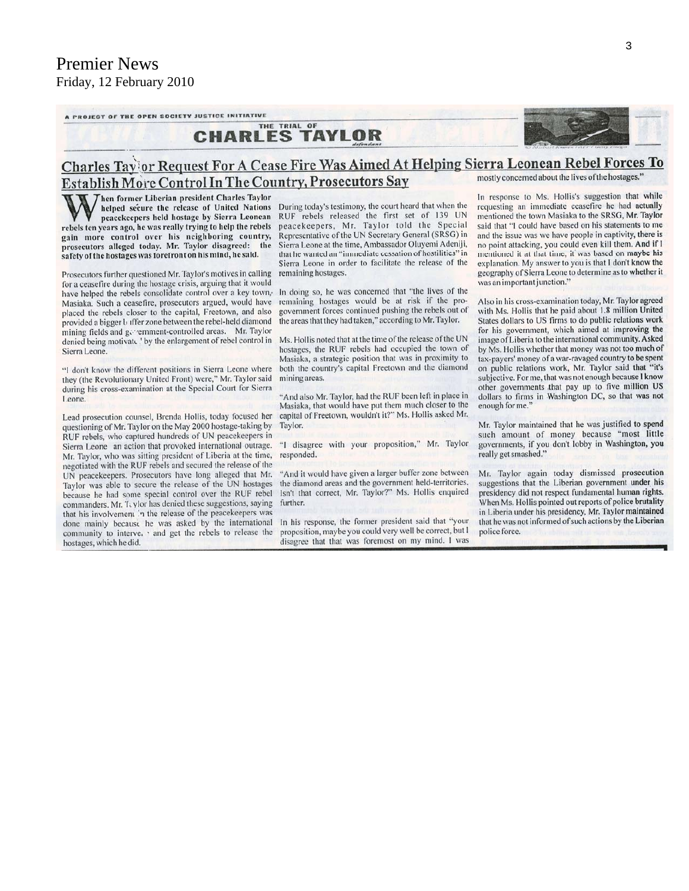A PROJECT OF THE OPEN SOCIETY JUSTICE INITIATIVE

#### THE TRIAL OF **CHARLES TAYLOR**



#### Charles Tay or Request For A Cease Fire Was Aimed At Helping Sierra Leonean Rebel Forces To mostly concerned about the lives of the hostages." Establish More Control In The Country, Prosecutors Say

hen former Liberian president Charles Taylor helped secure the release of United Nations peacekeepers held hostage by Sierra Leonean rebels ten years ago, he was really trying to help the rebels gain more control over his neighboring country, prosecutors alleged today. Mr. Taylor disagreed: the safety of the hostages was forefront on his mind, he said.

Prosecutors further questioned Mr. Taylor's motives in calling for a ceasefire during the hostage crisis, arguing that it would have helped the rebels consolidate control over a key town, Masiaka. Such a ceasefire, prosecutors argued, would have placed the rebels closer to the capital, Freetown, and also provided a bigger *b* iffer zone between the rebel-held diamond mining fields and generament-controlled areas. Mr. Taylor denied being motivate. ' by the enlargement of rebel control in Sierra Leone

"I don't know the different positions in Sierra Leone where they (the Revolutionary United Front) were," Mr. Taylor said during his cross-examination at the Special Court for Sierra Leone.

Lead prosecution counsel, Brenda Hollis, today focused her questioning of Mr. Taylor on the May 2000 hostage-taking by RUF rebels, who captured hundreds of UN peacekeepers in Sierra Leone an action that provoked international outrage. Mr. Taylor, who was sitting president of Liberia at the time, negotiated with the RUF rebels and secured the release of the UN peacekeepers. Prosecutors have long alleged that Mr. Taylor was able to secure the release of the UN hostages because he had some special control over the RUF rebel commanders. Mr. T. vlor has denied these suggestions, saying that his involvement in the release of the peacekeepers was done mainly because he was asked by the international community to interve. ' and get the rebels to release the hostages, which he did.

During today's testimony, the court heard that when the RUF rebels released the first set of 139 UN peacekeepers, Mr. Taylor told the Special Representative of the UN Secretary General (SRSG) in Sierra Leone at the time, Ambassador Oluyemi Adeniji, that he wanted an "immediate cessation of hostilities" in Sierra Leone in order to facilitate the release of the remaining hostages.

In doing so, he was concerned that "the lives of the remaining hostages would be at risk if the progovernment forces continued pushing the rebels out of the areas that they had taken," according to Mr. Taylor.

Ms. Hollis noted that at the time of the release of the UN hostages, the RUF rebels had occupied the town of Masiaka, a strategic position that was in proximity to both the country's capital Freetown and the diamond mining areas.

"And also Mr. Taylor, had the RUF been left in place in Masiaka, that would have put them much closer to the capital of Freetown, wouldn't it?" Ms. Hollis asked Mr. Taylor.

"I disagree with your proposition," Mr. Taylor responded.

"And it would have given a larger buffer zone between the diamond areas and the government held-territories, Isn't that correct, Mr. Taylor?" Ms. Hollis enquired further.

In his response, the former president said that "your proposition, maybe you could very well be correct, but I disagree that that was foremost on my mind. I was In response to Ms. Hollis's suggestion that while requesting an immediate ceasefire he had actually mentioned the town Masiaka to the SRSG, Mr. Taylor said that "I could have based on his statements to me and the issue was we have people in captivity, there is no point attacking, you could even kill them. And if I mentioned it at that time, it was based on maybe his explanation. My answer to you is that I don't know the geography of Sierra Leone to determine as to whether it was an important junction."

Also in his cross-examination today, Mr. Taylor agreed with Ms. Hollis that he paid about 1.8 million United States dollars to US firms to do public relations work for his government, which aimed at improving the image of Liberia to the international community. Asked by Ms. Hollis whether that money was not too much of tax-payers' money of a war-ravaged country to be spent on public relations work, Mr. Taylor said that "it's subjective. For me, that was not enough because I know other governments that pay up to five million US dollars to firms in Washington DC, so that was not enough for me.

Mr. Taylor maintained that he was justified to spend such amount of money because "most little governments, if you don't lobby in Washington, you really get smashed."

Mr. Taylor again today dismissed prosecution suggestions that the Liberian government under his presidency did not respect fundamental human rights. When Ms. Hollis pointed out reports of police brutality in Liberia under his presidency, Mr. Taylor maintained that he was not informed of such actions by the Liberian police force.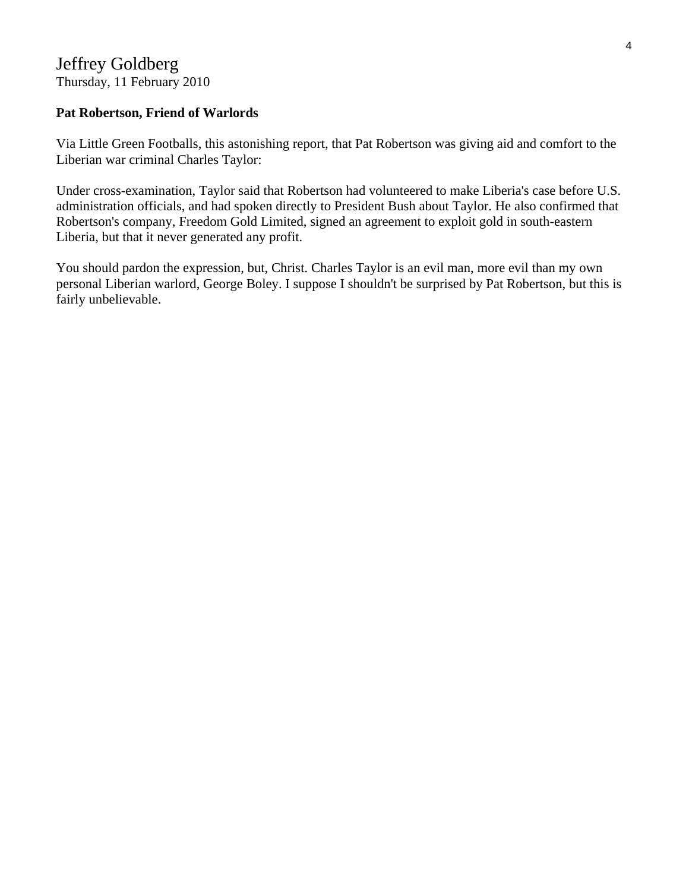# Jeffrey Goldberg Thursday, 11 February 2010

# **Pat Robertson, Friend of Warlords**

Via Little Green Footballs, this astonishing report, that Pat Robertson was giving aid and comfort to the Liberian war criminal Charles Taylor:

Under cross-examination, Taylor said that Robertson had volunteered to make Liberia's case before U.S. administration officials, and had spoken directly to President Bush about Taylor. He also confirmed that Robertson's company, Freedom Gold Limited, signed an agreement to exploit gold in south-eastern Liberia, but that it never generated any profit.

You should pardon the expression, but, Christ. Charles Taylor is an evil man, more evil than my own personal Liberian warlord, George Boley. I suppose I shouldn't be surprised by Pat Robertson, but this is fairly unbelievable.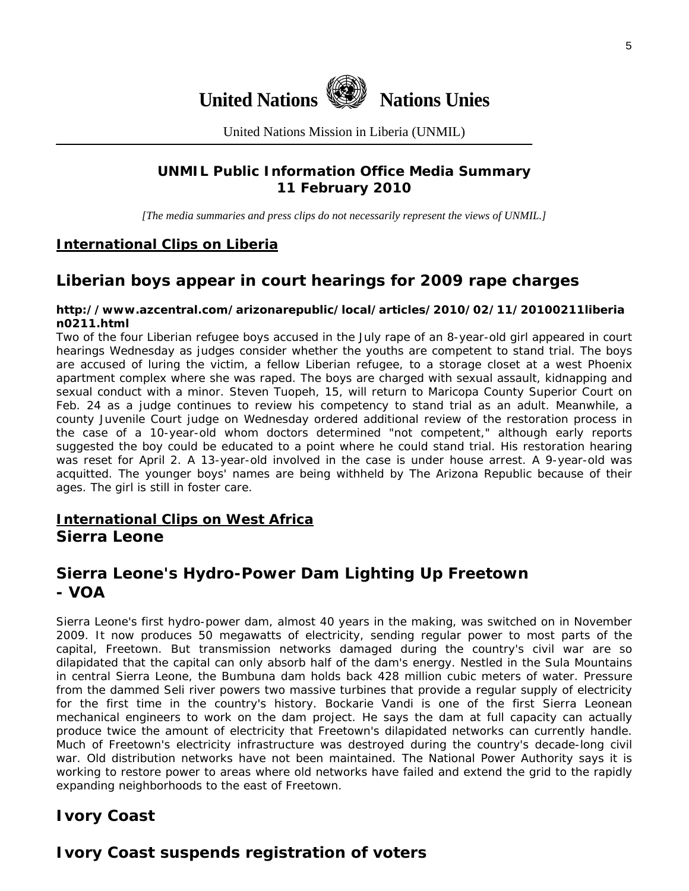

United Nations Mission in Liberia (UNMIL)

# **UNMIL Public Information Office Media Summary 11 February 2010**

*[The media summaries and press clips do not necessarily represent the views of UNMIL.]* 

# **International Clips on Liberia**

# **Liberian boys appear in court hearings for 2009 rape charges**

#### **http://www.azcentral.com/arizonarepublic/local/articles/2010/02/11/20100211liberia n0211.html**

Two of the four Liberian refugee boys accused in the July rape of an 8-year-old girl appeared in court hearings Wednesday as judges consider whether the youths are competent to stand trial. The boys are accused of luring the victim, a fellow Liberian refugee, to a storage closet at a west Phoenix apartment complex where she was raped. The boys are charged with sexual assault, kidnapping and sexual conduct with a minor. Steven Tuopeh, 15, will return to Maricopa County Superior Court on Feb. 24 as a judge continues to review his competency to stand trial as an adult. Meanwhile, a county Juvenile Court judge on Wednesday ordered additional review of the restoration process in the case of a 10-year-old whom doctors determined "not competent," although early reports suggested the boy could be educated to a point where he could stand trial. His restoration hearing was reset for April 2. A 13-year-old involved in the case is under house arrest. A 9-year-old was acquitted. The younger boys' names are being withheld by The Arizona Republic because of their ages. The girl is still in foster care.

# **International Clips on West Africa Sierra Leone**

# **Sierra Leone's Hydro-Power Dam Lighting Up Freetown - VOA**

Sierra Leone's first hydro-power dam, almost 40 years in the making, was switched on in November 2009. It now produces 50 megawatts of electricity, sending regular power to most parts of the capital, Freetown. But transmission networks damaged during the country's civil war are so dilapidated that the capital can only absorb half of the dam's energy. Nestled in the Sula Mountains in central Sierra Leone, the Bumbuna dam holds back 428 million cubic meters of water. Pressure from the dammed Seli river powers two massive turbines that provide a regular supply of electricity for the first time in the country's history. Bockarie Vandi is one of the first Sierra Leonean mechanical engineers to work on the dam project. He says the dam at full capacity can actually produce twice the amount of electricity that Freetown's dilapidated networks can currently handle. Much of Freetown's electricity infrastructure was destroyed during the country's decade-long civil war. Old distribution networks have not been maintained. The National Power Authority says it is working to restore power to areas where old networks have failed and extend the grid to the rapidly expanding neighborhoods to the east of Freetown.

# **Ivory Coast**

# **Ivory Coast suspends registration of voters**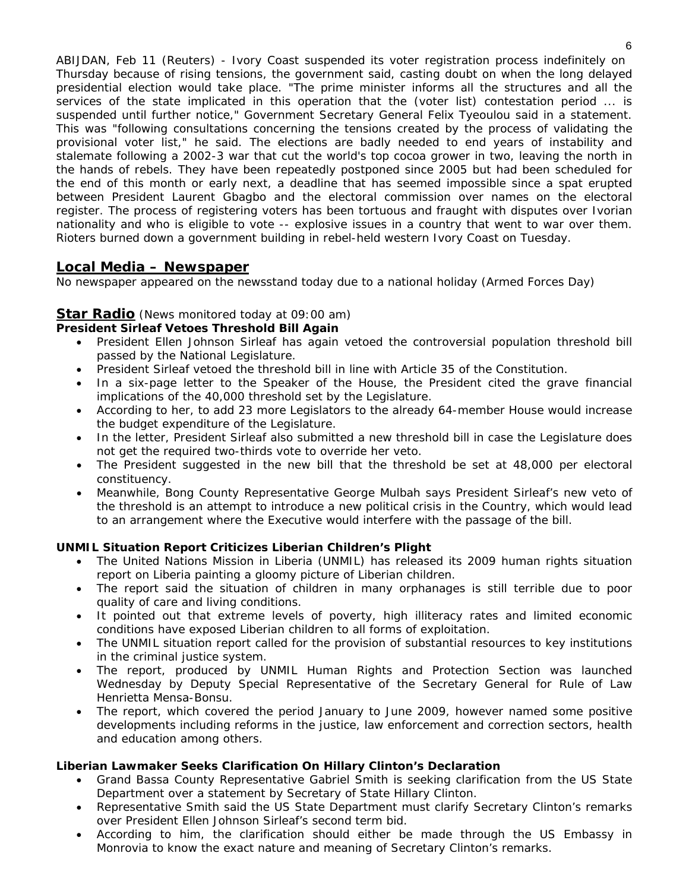ABIJDAN, Feb 11 (Reuters) - Ivory Coast suspended its voter registration process indefinitely on Thursday because of rising tensions, the government said, casting doubt on when the long delayed presidential election would take place. "The prime minister informs all the structures and all the services of the state implicated in this operation that the (voter list) contestation period ... is suspended until further notice," Government Secretary General Felix Tyeoulou said in a statement. This was "following consultations concerning the tensions created by the process of validating the provisional voter list," he said. The elections are badly needed to end years of instability and stalemate following a 2002-3 war that cut the world's top cocoa grower in two, leaving the north in the hands of rebels. They have been repeatedly postponed since 2005 but had been scheduled for the end of this month or early next, a deadline that has seemed impossible since a spat erupted between President Laurent Gbagbo and the electoral commission over names on the electoral register. The process of registering voters has been tortuous and fraught with disputes over Ivorian nationality and who is eligible to vote -- explosive issues in a country that went to war over them. Rioters burned down a government building in rebel-held western Ivory Coast on Tuesday.

# **Local Media – Newspaper**

*No newspaper appeared on the newsstand today due to a national holiday (Armed Forces Day)* 

### **Star Radio** *(News monitored today at 09:00 am)*

#### **President Sirleaf Vetoes Threshold Bill Again**

- President Ellen Johnson Sirleaf has again vetoed the controversial population threshold bill passed by the National Legislature.
- President Sirleaf vetoed the threshold bill in line with Article 35 of the Constitution.
- In a six-page letter to the Speaker of the House, the President cited the grave financial implications of the 40,000 threshold set by the Legislature.
- According to her, to add 23 more Legislators to the already 64-member House would increase the budget expenditure of the Legislature.
- In the letter, President Sirleaf also submitted a new threshold bill in case the Legislature does not get the required two-thirds vote to override her veto.
- The President suggested in the new bill that the threshold be set at 48,000 per electoral constituency.
- Meanwhile, Bong County Representative George Mulbah says President Sirleaf's new veto of the threshold is an attempt to introduce a new political crisis in the Country, which would lead to an arrangement where the Executive would interfere with the passage of the bill.

#### **UNMIL Situation Report Criticizes Liberian Children's Plight**

- The United Nations Mission in Liberia (UNMIL) has released its 2009 human rights situation report on Liberia painting a gloomy picture of Liberian children.
- The report said the situation of children in many orphanages is still terrible due to poor quality of care and living conditions.
- It pointed out that extreme levels of poverty, high illiteracy rates and limited economic conditions have exposed Liberian children to all forms of exploitation.
- The UNMIL situation report called for the provision of substantial resources to key institutions in the criminal justice system.
- The report, produced by UNMIL Human Rights and Protection Section was launched Wednesday by Deputy Special Representative of the Secretary General for Rule of Law Henrietta Mensa-Bonsu.
- The report, which covered the period January to June 2009, however named some positive developments including reforms in the justice, law enforcement and correction sectors, health and education among others.

#### **Liberian Lawmaker Seeks Clarification On Hillary Clinton's Declaration**

- Grand Bassa County Representative Gabriel Smith is seeking clarification from the US State Department over a statement by Secretary of State Hillary Clinton.
- Representative Smith said the US State Department must clarify Secretary Clinton's remarks over President Ellen Johnson Sirleaf's second term bid.
- According to him, the clarification should either be made through the US Embassy in Monrovia to know the exact nature and meaning of Secretary Clinton's remarks.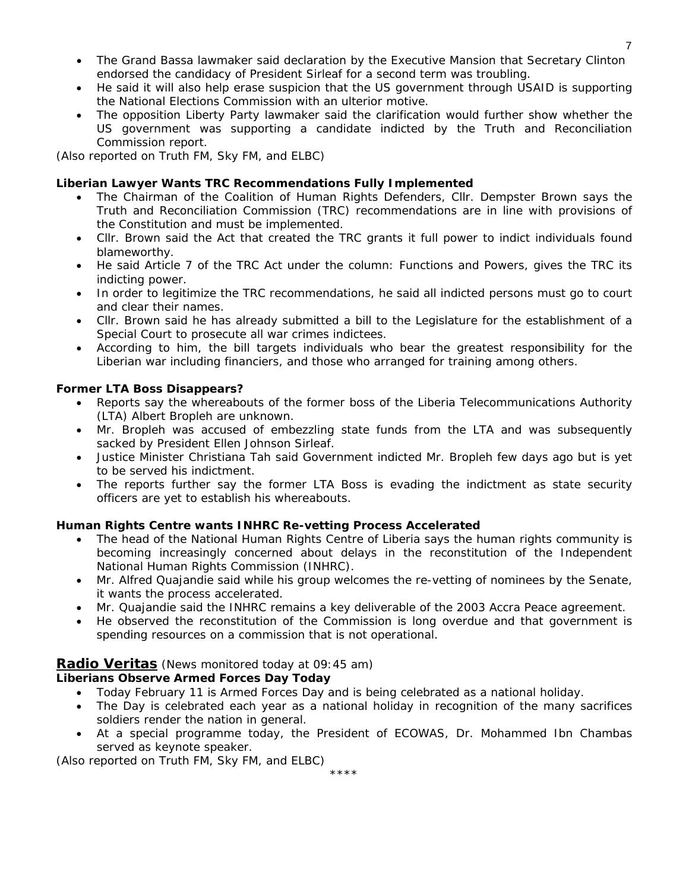- The Grand Bassa lawmaker said declaration by the Executive Mansion that Secretary Clinton endorsed the candidacy of President Sirleaf for a second term was troubling.
- He said it will also help erase suspicion that the US government through USAID is supporting the National Elections Commission with an ulterior motive.
- The opposition Liberty Party lawmaker said the clarification would further show whether the US government was supporting a candidate indicted by the Truth and Reconciliation Commission report.

*(Also reported on Truth FM, Sky FM, and ELBC)* 

# **Liberian Lawyer Wants TRC Recommendations Fully Implemented**

- The Chairman of the Coalition of Human Rights Defenders, Cllr. Dempster Brown says the Truth and Reconciliation Commission (TRC) recommendations are in line with provisions of the Constitution and must be implemented.
- Cllr. Brown said the Act that created the TRC grants it full power to indict individuals found blameworthy.
- He said Article 7 of the TRC Act under the column: Functions and Powers, gives the TRC its indicting power.
- In order to legitimize the TRC recommendations, he said all indicted persons must go to court and clear their names.
- Cllr. Brown said he has already submitted a bill to the Legislature for the establishment of a Special Court to prosecute all war crimes indictees.
- According to him, the bill targets individuals who bear the greatest responsibility for the Liberian war including financiers, and those who arranged for training among others.

# **Former LTA Boss Disappears?**

- Reports say the whereabouts of the former boss of the Liberia Telecommunications Authority (LTA) Albert Bropleh are unknown.
- Mr. Bropleh was accused of embezzling state funds from the LTA and was subsequently sacked by President Ellen Johnson Sirleaf.
- Justice Minister Christiana Tah said Government indicted Mr. Bropleh few days ago but is yet to be served his indictment.
- The reports further say the former LTA Boss is evading the indictment as state security officers are yet to establish his whereabouts.

# **Human Rights Centre wants INHRC Re-vetting Process Accelerated**

- The head of the National Human Rights Centre of Liberia says the human rights community is becoming increasingly concerned about delays in the reconstitution of the Independent National Human Rights Commission (INHRC).
- Mr. Alfred Quajandie said while his group welcomes the re-vetting of nominees by the Senate, it wants the process accelerated.
- Mr. Quajandie said the INHRC remains a key deliverable of the 2003 Accra Peace agreement.
- He observed the reconstitution of the Commission is long overdue and that government is spending resources on a commission that is not operational.

# **Radio Veritas** *(News monitored today at 09:45 am)*

### **Liberians Observe Armed Forces Day Today**

- Today February 11 is Armed Forces Day and is being celebrated as a national holiday.
- The Day is celebrated each year as a national holiday in recognition of the many sacrifices soldiers render the nation in general.
- At a special programme today, the President of ECOWAS, Dr. Mohammed Ibn Chambas served as keynote speaker.

\*\*\*\*

*(Also reported on Truth FM, Sky FM, and ELBC)*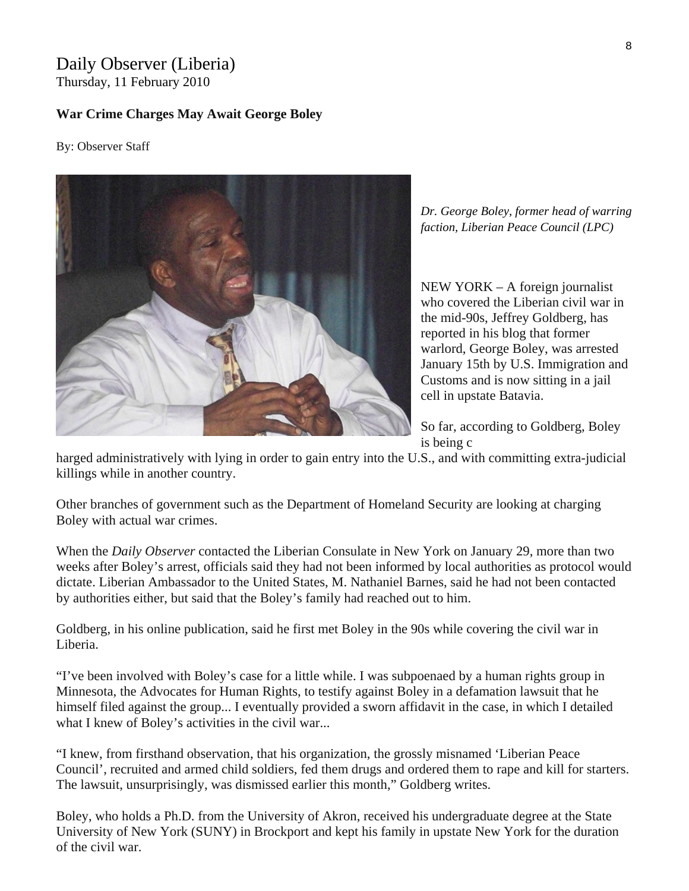# Daily Observer (Liberia) Thursday, 11 February 2010

# **War Crime Charges May Await George Boley**

By: Observer Staff



*Dr. George Boley, former head of warring faction, Liberian Peace Council (LPC)* 

NEW YORK – A foreign journalist who covered the Liberian civil war in the mid-90s, Jeffrey Goldberg, has reported in his blog that former warlord, George Boley, was arrested January 15th by U.S. Immigration and Customs and is now sitting in a jail cell in upstate Batavia.

So far, according to Goldberg, Boley is being c

harged administratively with lying in order to gain entry into the U.S., and with committing extra-judicial killings while in another country.

Other branches of government such as the Department of Homeland Security are looking at charging Boley with actual war crimes.

When the *Daily Observer* contacted the Liberian Consulate in New York on January 29, more than two weeks after Boley's arrest, officials said they had not been informed by local authorities as protocol would dictate. Liberian Ambassador to the United States, M. Nathaniel Barnes, said he had not been contacted by authorities either, but said that the Boley's family had reached out to him.

Goldberg, in his online publication, said he first met Boley in the 90s while covering the civil war in Liberia.

"I've been involved with Boley's case for a little while. I was subpoenaed by a human rights group in Minnesota, the Advocates for Human Rights, to testify against Boley in a defamation lawsuit that he himself filed against the group... I eventually provided a sworn affidavit in the case, in which I detailed what I knew of Boley's activities in the civil war...

"I knew, from firsthand observation, that his organization, the grossly misnamed 'Liberian Peace Council', recruited and armed child soldiers, fed them drugs and ordered them to rape and kill for starters. The lawsuit, unsurprisingly, was dismissed earlier this month," Goldberg writes.

Boley, who holds a Ph.D. from the University of Akron, received his undergraduate degree at the State University of New York (SUNY) in Brockport and kept his family in upstate New York for the duration of the civil war.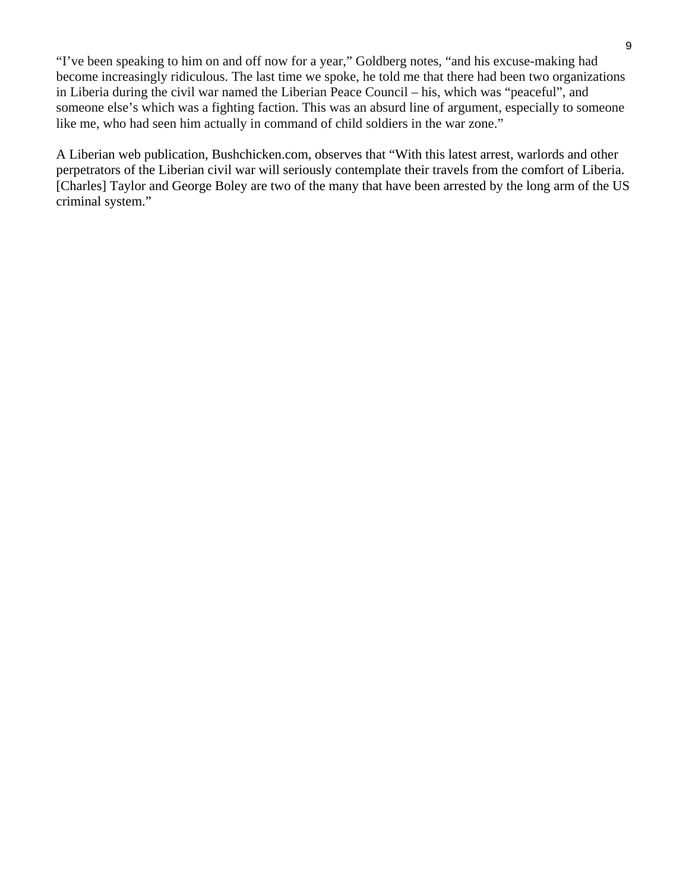"I've been speaking to him on and off now for a year," Goldberg notes, "and his excuse-making had become increasingly ridiculous. The last time we spoke, he told me that there had been two organizations in Liberia during the civil war named the Liberian Peace Council – his, which was "peaceful", and someone else's which was a fighting faction. This was an absurd line of argument, especially to someone like me, who had seen him actually in command of child soldiers in the war zone."

A Liberian web publication, Bushchicken.com, observes that "With this latest arrest, warlords and other perpetrators of the Liberian civil war will seriously contemplate their travels from the comfort of Liberia. [Charles] Taylor and George Boley are two of the many that have been arrested by the long arm of the US criminal system."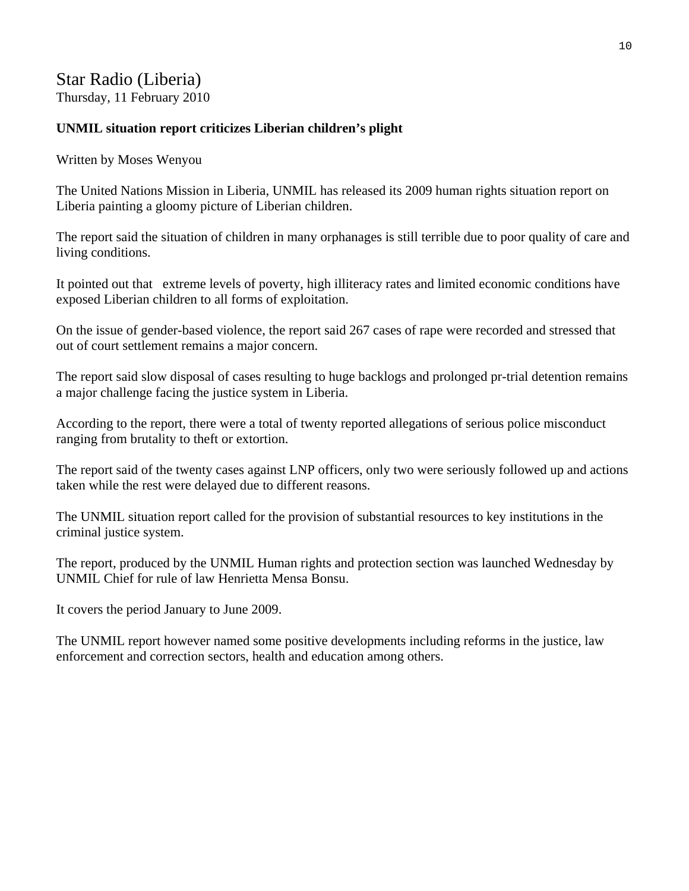# Star Radio (Liberia) Thursday, 11 February 2010

# **UNMIL situation report criticizes Liberian children's plight**

Written by Moses Wenyou

The United Nations Mission in Liberia, UNMIL has released its 2009 human rights situation report on Liberia painting a gloomy picture of Liberian children.

The report said the situation of children in many orphanages is still terrible due to poor quality of care and living conditions.

It pointed out that extreme levels of poverty, high illiteracy rates and limited economic conditions have exposed Liberian children to all forms of exploitation.

On the issue of gender-based violence, the report said 267 cases of rape were recorded and stressed that out of court settlement remains a major concern.

The report said slow disposal of cases resulting to huge backlogs and prolonged pr-trial detention remains a major challenge facing the justice system in Liberia.

According to the report, there were a total of twenty reported allegations of serious police misconduct ranging from brutality to theft or extortion.

The report said of the twenty cases against LNP officers, only two were seriously followed up and actions taken while the rest were delayed due to different reasons.

The UNMIL situation report called for the provision of substantial resources to key institutions in the criminal justice system.

The report, produced by the UNMIL Human rights and protection section was launched Wednesday by UNMIL Chief for rule of law Henrietta Mensa Bonsu.

It covers the period January to June 2009.

The UNMIL report however named some positive developments including reforms in the justice, law enforcement and correction sectors, health and education among others.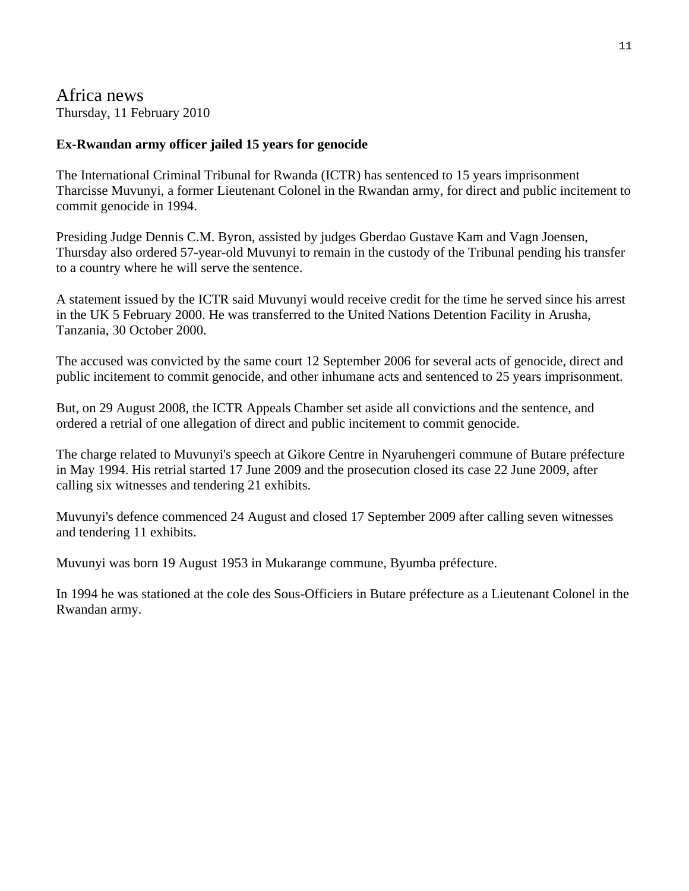Africa news Thursday, 11 February 2010

# **Ex-Rwandan army officer jailed 15 years for genocide**

The International Criminal Tribunal for Rwanda (ICTR) has sentenced to 15 years imprisonment Tharcisse Muvunyi, a former Lieutenant Colonel in the Rwandan army, for direct and public incitement to commit genocide in 1994.

Presiding Judge Dennis C.M. Byron, assisted by judges Gberdao Gustave Kam and Vagn Joensen, Thursday also ordered 57-year-old Muvunyi to remain in the custody of the Tribunal pending his transfer to a country where he will serve the sentence.

A statement issued by the ICTR said Muvunyi would receive credit for the time he served since his arrest in the UK 5 February 2000. He was transferred to the United Nations Detention Facility in Arusha, Tanzania, 30 October 2000.

The accused was convicted by the same court 12 September 2006 for several acts of genocide, direct and public incitement to commit genocide, and other inhumane acts and sentenced to 25 years imprisonment.

But, on 29 August 2008, the ICTR Appeals Chamber set aside all convictions and the sentence, and ordered a retrial of one allegation of direct and public incitement to commit genocide.

The charge related to Muvunyi's speech at Gikore Centre in Nyaruhengeri commune of Butare préfecture in May 1994. His retrial started 17 June 2009 and the prosecution closed its case 22 June 2009, after calling six witnesses and tendering 21 exhibits.

Muvunyi's defence commenced 24 August and closed 17 September 2009 after calling seven witnesses and tendering 11 exhibits.

Muvunyi was born 19 August 1953 in Mukarange commune, Byumba préfecture.

In 1994 he was stationed at the cole des Sous-Officiers in Butare préfecture as a Lieutenant Colonel in the Rwandan army.